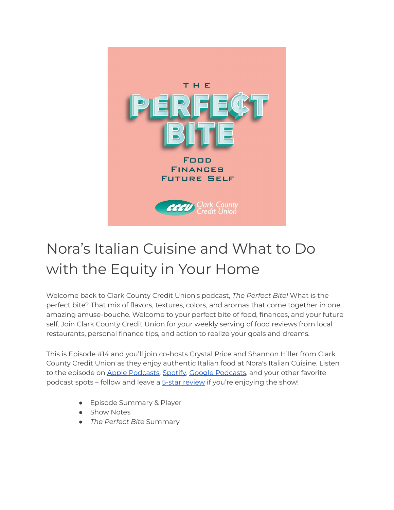

## Nora's Italian Cuisine and What to Do with the Equity in Your Home

Welcome back to Clark County Credit Union's podcast, *The Perfect Bite!* What is the perfect bite? That mix of flavors, textures, colors, and aromas that come together in one amazing amuse-bouche. Welcome to your perfect bite of food, finances, and your future self. Join Clark County Credit Union for your weekly serving of food reviews from local restaurants, personal finance tips, and action to realize your goals and dreams.

This is Episode #14 and you'll join co-hosts Crystal Price and Shannon Hiller from Clark County Credit Union as they enjoy authentic Italian food at Nora's Italian Cuisine. Listen to the episode on Apple [Podcasts,](https://podcasts.google.com/feed/aHR0cHM6Ly9wZXJmZWN0Yml0ZS5saWJzeW4uY29tL3Jzcw?sa=X&ved=0CAMQ4aUDahcKEwi47ZHlgPP1AhUAAAAAHQAAAAAQRA) [Spotify](https://open.spotify.com/show/7tNPJZBNHabGWEFmjnHaxR?si=a0a7808911264628), Google Podcasts, and your other favorite podcast spots - follow and leave a **5-star [review](https://podcasts.apple.com/us/podcast/the-perfect-bite/id1604656448)** if you're enjoying the show!

- Episode Summary & Player
- Show Notes
- *The Perfect Bite* Summary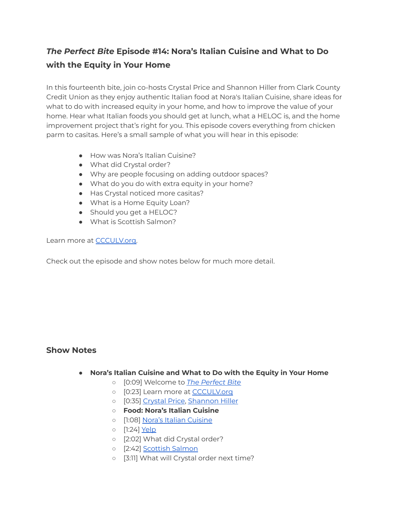## *The Perfect Bite* **Episode #14: Nora's Italian Cuisine and What to Do with the Equity in Your Home**

In this fourteenth bite, join co-hosts Crystal Price and Shannon Hiller from Clark County Credit Union as they enjoy authentic Italian food at Nora's Italian Cuisine, share ideas for what to do with increased equity in your home, and how to improve the value of your home. Hear what Italian foods you should get at lunch, what a HELOC is, and the home improvement project that's right for you. This episode covers everything from chicken parm to casitas. Here's a small sample of what you will hear in this episode:

- How was Nora's Italian Cuisine?
- What did Crystal order?
- Why are people focusing on adding outdoor spaces?
- What do you do with extra equity in your home?
- Has Crystal noticed more casitas?
- What is a Home Equity Loan?
- Should you get a HELOC?
- What is Scottish Salmon?

Learn more at [CCCULV.org.](https://www.ccculv.org/)

Check out the episode and show notes below for much more detail.

## **Show Notes**

- **Nora's Italian Cuisine and What to Do with the Equity in Your Home**
	- [0:09] Welcome to *[The Perfect Bite](https://www.ccculv.org/)*
	- o [0:23] Learn more at [CCCULV.org](https://www.ccculv.org/)
	- [0:35] [Crystal Price](https://www.ccculv.org/Our-Mission.aspx), [Shannon Hiller](https://www.ccculv.org/Our-Mission.aspx)
	- **○ Food: Nora's Italian Cuisine**
	- [1:08] [Nora's Italian Cuisine](https://www.yelp.com/biz/noras-italian-cuisine-las-vegas-3)
	- [1:24] [Yelp](https://www.yelp.com/biz/noras-italian-cuisine-las-vegas-3)
	- o [2:02] What did Crystal order?
	- o [2:42] [Scottish Salmon](https://www.salmonscotland.co.uk/)
	- [3:11] What will Crystal order next time?